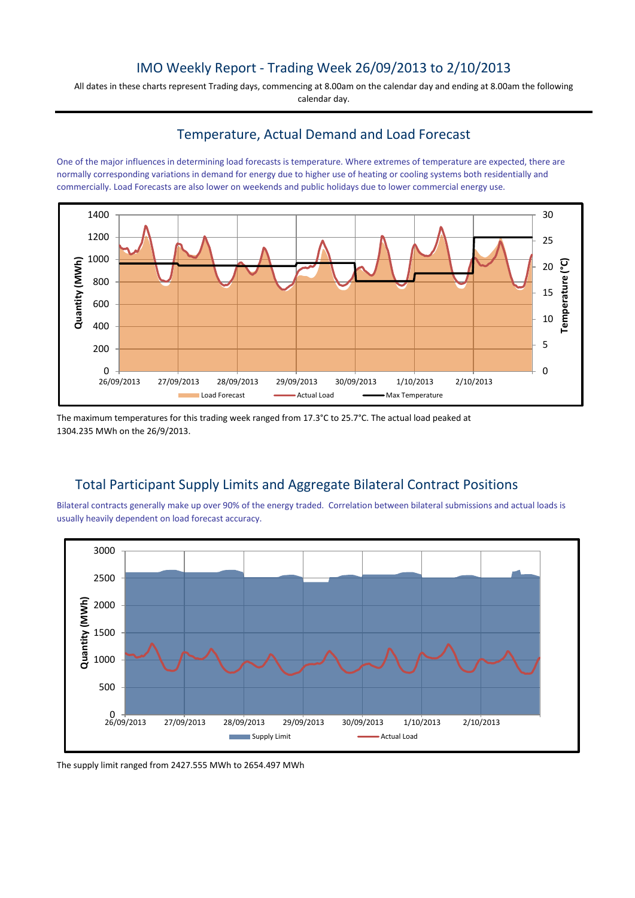## IMO Weekly Report - Trading Week 26/09/2013 to 2/10/2013

All dates in these charts represent Trading days, commencing at 8.00am on the calendar day and ending at 8.00am the following calendar day.

## Temperature, Actual Demand and Load Forecast

One of the major influences in determining load forecasts is temperature. Where extremes of temperature are expected, there are normally corresponding variations in demand for energy due to higher use of heating or cooling systems both residentially and commercially. Load Forecasts are also lower on weekends and public holidays due to lower commercial energy use.



The maximum temperatures for this trading week ranged from 17.3°C to 25.7°C. The actual load peaked at 1304.235 MWh on the 26/9/2013.

# Total Participant Supply Limits and Aggregate Bilateral Contract Positions

Bilateral contracts generally make up over 90% of the energy traded. Correlation between bilateral submissions and actual loads is usually heavily dependent on load forecast accuracy.



The supply limit ranged from 2427.555 MWh to 2654.497 MWh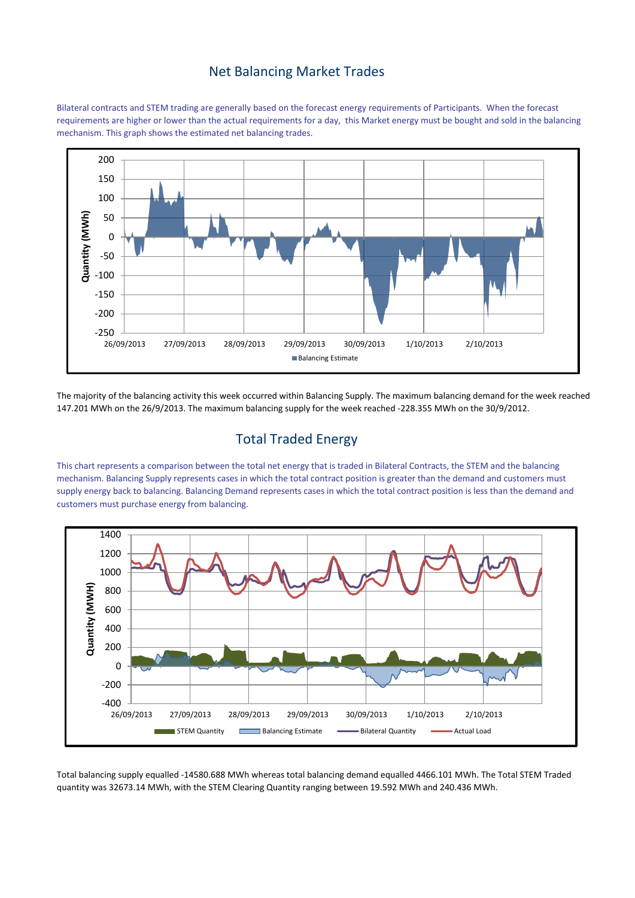### Net Balancing Market Trades

Bilateral contracts and STEM trading are generally based on the forecast energy requirements of Participants. When the forecast requirements are higher or lower than the actual requirements for a day, this Market energy must be bought and sold in the balancing mechanism. This graph shows the estimated net balancing trades.



The majority of the balancing activity this week occurred within Balancing Supply. The maximum balancing demand for the week reached 147.201 MWh on the 26/9/2013. The maximum balancing supply for the week reached -228.355 MWh on the 30/9/2012.

## Total Traded Energy

This chart represents a comparison between the total net energy that is traded in Bilateral Contracts, the STEM and the balancing mechanism. Balancing Supply represents cases in which the total contract position is greater than the demand and customers must supply energy back to balancing. Balancing Demand represents cases in which the total contract position is less than the demand and customers must purchase energy from balancing.



Total balancing supply equalled -14580.688 MWh whereas total balancing demand equalled 4466.101 MWh. The Total STEM Traded quantity was 32673.14 MWh, with the STEM Clearing Quantity ranging between 19.592 MWh and 240.436 MWh.